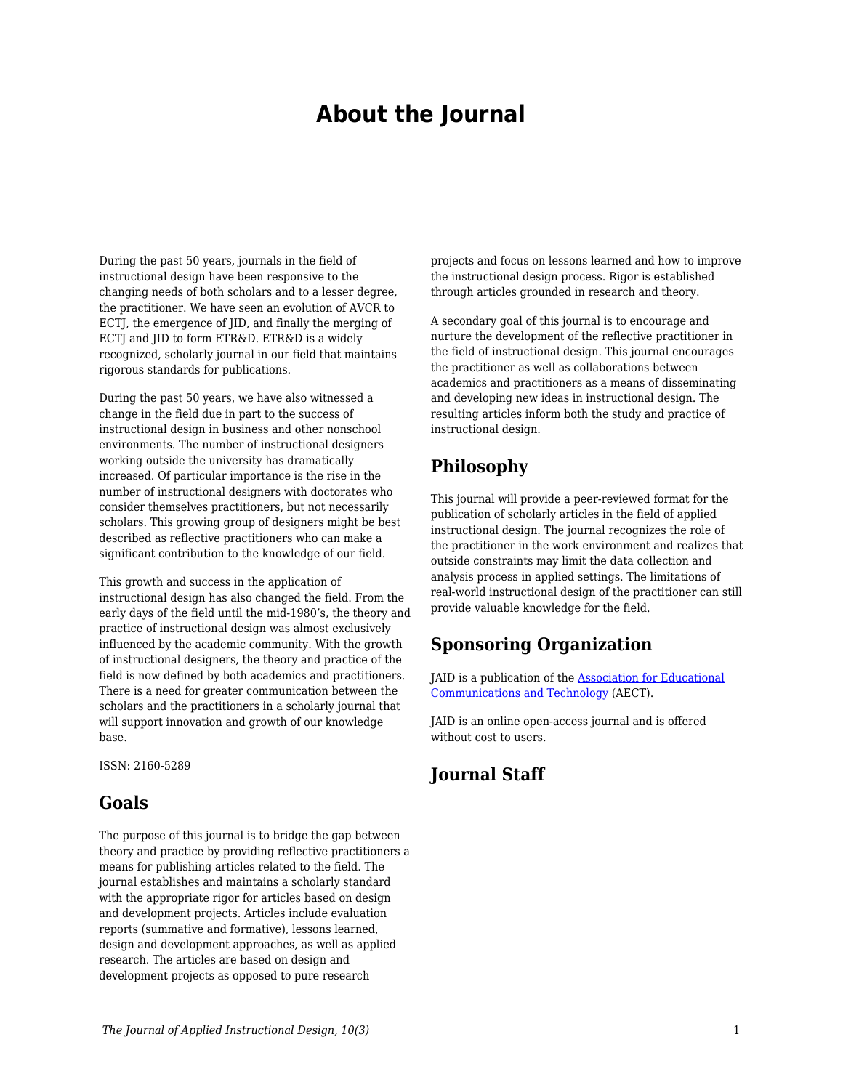# **About the Journal**

During the past 50 years, journals in the field of instructional design have been responsive to the changing needs of both scholars and to a lesser degree, the practitioner. We have seen an evolution of AVCR to ECTJ, the emergence of JID, and finally the merging of ECTI and IID to form ETR&D. ETR&D is a widely recognized, scholarly journal in our field that maintains rigorous standards for publications.

During the past 50 years, we have also witnessed a change in the field due in part to the success of instructional design in business and other nonschool environments. The number of instructional designers working outside the university has dramatically increased. Of particular importance is the rise in the number of instructional designers with doctorates who consider themselves practitioners, but not necessarily scholars. This growing group of designers might be best described as reflective practitioners who can make a significant contribution to the knowledge of our field.

This growth and success in the application of instructional design has also changed the field. From the early days of the field until the mid-1980's, the theory and practice of instructional design was almost exclusively influenced by the academic community. With the growth of instructional designers, the theory and practice of the field is now defined by both academics and practitioners. There is a need for greater communication between the scholars and the practitioners in a scholarly journal that will support innovation and growth of our knowledge base.

ISSN: 2160-5289

### **Goals**

The purpose of this journal is to bridge the gap between theory and practice by providing reflective practitioners a means for publishing articles related to the field. The journal establishes and maintains a scholarly standard with the appropriate rigor for articles based on design and development projects. Articles include evaluation reports (summative and formative), lessons learned, design and development approaches, as well as applied research. The articles are based on design and development projects as opposed to pure research

projects and focus on lessons learned and how to improve the instructional design process. Rigor is established through articles grounded in research and theory.

A secondary goal of this journal is to encourage and nurture the development of the reflective practitioner in the field of instructional design. This journal encourages the practitioner as well as collaborations between academics and practitioners as a means of disseminating and developing new ideas in instructional design. The resulting articles inform both the study and practice of instructional design.

### **Philosophy**

This journal will provide a peer-reviewed format for the publication of scholarly articles in the field of applied instructional design. The journal recognizes the role of the practitioner in the work environment and realizes that outside constraints may limit the data collection and analysis process in applied settings. The limitations of real-world instructional design of the practitioner can still provide valuable knowledge for the field.

# **Sponsoring Organization**

JAID is a publication of the [Association for Educational](https://www.aect.org/) [Communications and Technology](https://www.aect.org/) (AECT).

JAID is an online open-access journal and is offered without cost to users.

# **Journal Staff**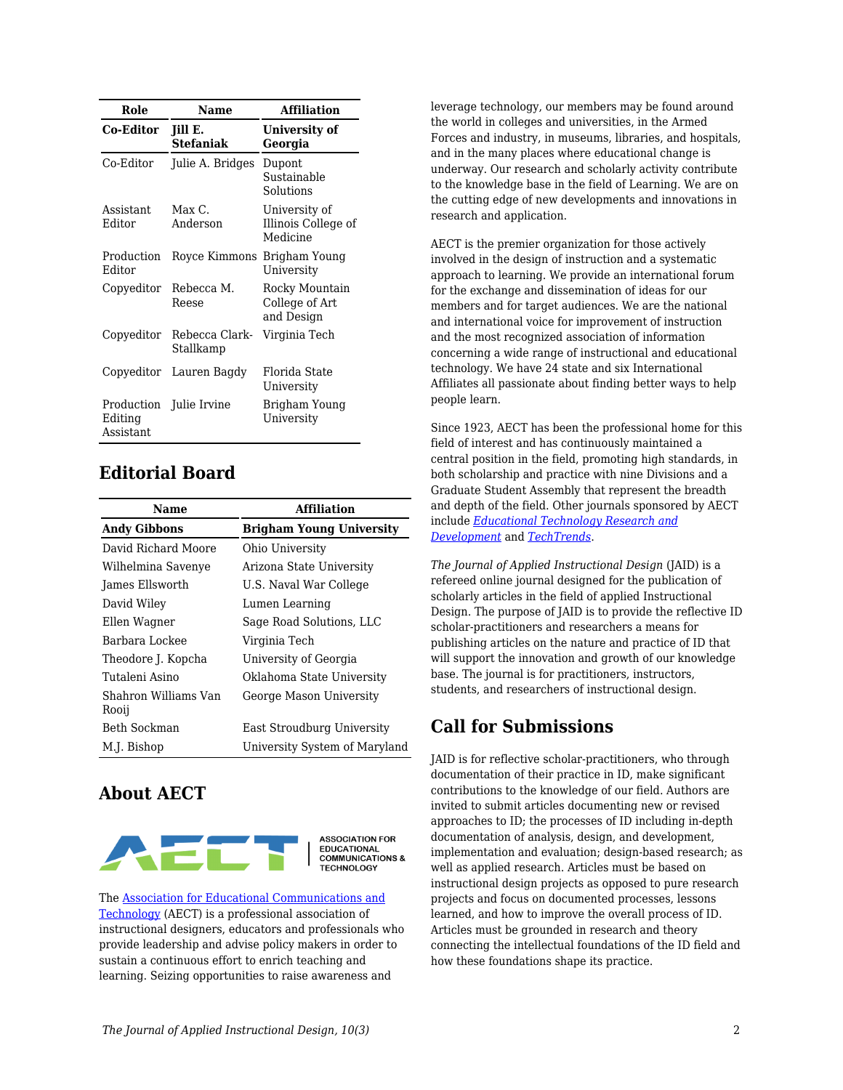| Role                                            | Name                               | <b>Affiliation</b>                               |
|-------------------------------------------------|------------------------------------|--------------------------------------------------|
| Co-Editor                                       | <b>Jill E.</b><br><b>Stefaniak</b> | University of<br>Georgia                         |
| Co-Editor                                       | Julie A. Bridges                   | Dupont<br>Sustainable<br>Solutions               |
| Assistant<br>Editor                             | Max C<br>Anderson                  | University of<br>Illinois College of<br>Medicine |
| Production<br>Editor                            | Royce Kimmons Brigham Young        | University                                       |
| Copyeditor                                      | Rebecca M.<br>Reese                | Rocky Mountain<br>College of Art<br>and Design   |
| Copyeditor                                      | Rebecca Clark-<br>Stallkamp        | Virginia Tech                                    |
| Copyeditor                                      | Lauren Bagdy                       | Florida State<br>University                      |
| Production Julie Irvine<br>Editing<br>Assistant |                                    | Brigham Young<br>University                      |

# **Editorial Board**

| Name                          | <b>Affiliation</b>              |  |
|-------------------------------|---------------------------------|--|
| <b>Andy Gibbons</b>           | <b>Brigham Young University</b> |  |
| David Richard Moore           | Ohio University                 |  |
| Wilhelmina Savenye            | Arizona State University        |  |
| James Ellsworth               | U.S. Naval War College          |  |
| David Wiley                   | Lumen Learning                  |  |
| Ellen Wagner                  | Sage Road Solutions, LLC        |  |
| Barbara Lockee                | Virginia Tech                   |  |
| Theodore J. Kopcha            | University of Georgia           |  |
| Tutaleni Asino                | Oklahoma State University       |  |
| Shahron Williams Van<br>Rooij | George Mason University         |  |
| Beth Sockman                  | East Stroudburg University      |  |
| M.J. Bishop                   | University System of Maryland   |  |

# **About AECT**



**ASSOCIATION FOR EDUCATIONAL<br>COMMUNICATIONS & TECHNOLOGY** 

The [Association for Educational Communications and](https://www.aect.org/) [Technology](https://www.aect.org/) (AECT) is a professional association of instructional designers, educators and professionals who provide leadership and advise policy makers in order to sustain a continuous effort to enrich teaching and learning. Seizing opportunities to raise awareness and

leverage technology, our members may be found around the world in colleges and universities, in the Armed Forces and industry, in museums, libraries, and hospitals, and in the many places where educational change is underway. Our research and scholarly activity contribute to the knowledge base in the field of Learning. We are on the cutting edge of new developments and innovations in research and application.

AECT is the premier organization for those actively involved in the design of instruction and a systematic approach to learning. We provide an international forum for the exchange and dissemination of ideas for our members and for target audiences. We are the national and international voice for improvement of instruction and the most recognized association of information concerning a wide range of instructional and educational technology. We have 24 state and six International Affiliates all passionate about finding better ways to help people learn.

Since 1923, AECT has been the professional home for this field of interest and has continuously maintained a central position in the field, promoting high standards, in both scholarship and practice with nine Divisions and a Graduate Student Assembly that represent the breadth and depth of the field. Other journals sponsored by AECT include *[Educational Technology Research and](https://www.springer.com/journal/11423) [Development](https://www.springer.com/journal/11423)* and *[TechTrends](https://www.springer.com/journal/11528)*.

*The Journal of Applied Instructional Design* (JAID) is a refereed online journal designed for the publication of scholarly articles in the field of applied Instructional Design. The purpose of JAID is to provide the reflective ID scholar-practitioners and researchers a means for publishing articles on the nature and practice of ID that will support the innovation and growth of our knowledge base. The journal is for practitioners, instructors, students, and researchers of instructional design.

# **Call for Submissions**

JAID is for reflective scholar-practitioners, who through documentation of their practice in ID, make significant contributions to the knowledge of our field. Authors are invited to submit articles documenting new or revised approaches to ID; the processes of ID including in-depth documentation of analysis, design, and development, implementation and evaluation; design-based research; as well as applied research. Articles must be based on instructional design projects as opposed to pure research projects and focus on documented processes, lessons learned, and how to improve the overall process of ID. Articles must be grounded in research and theory connecting the intellectual foundations of the ID field and how these foundations shape its practice.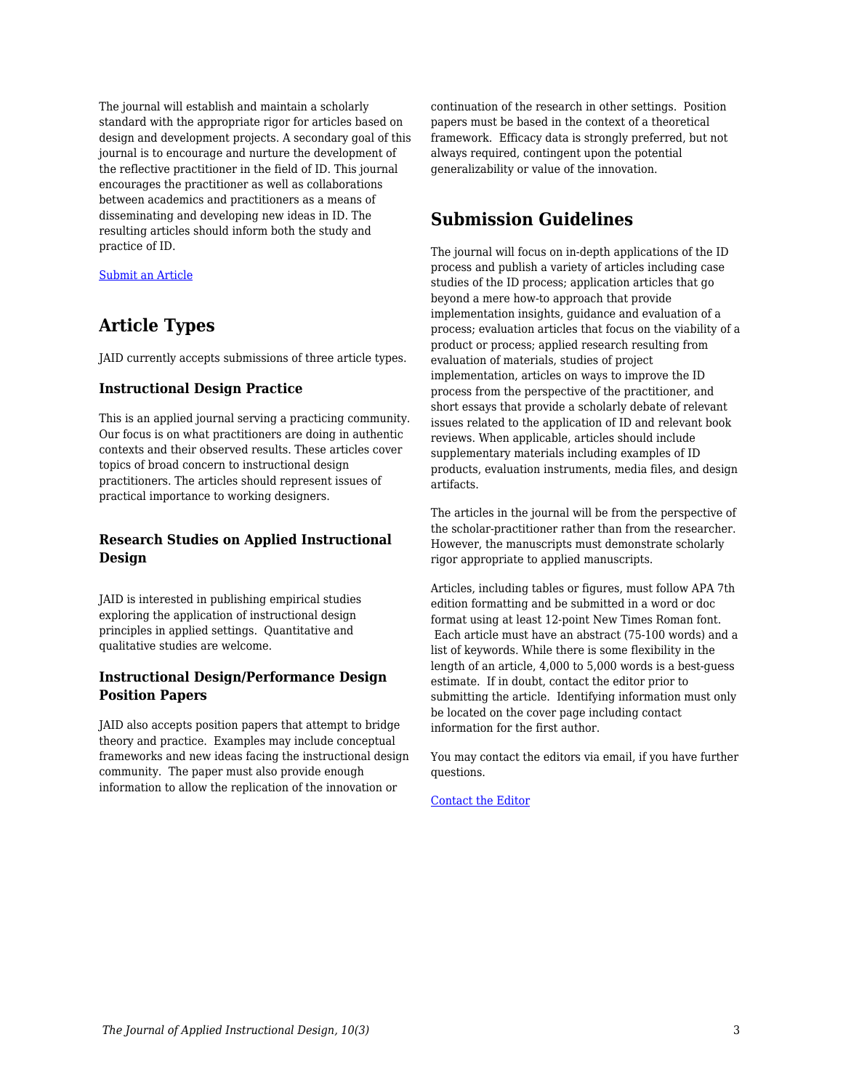The journal will establish and maintain a scholarly standard with the appropriate rigor for articles based on design and development projects. A secondary goal of this journal is to encourage and nurture the development of the reflective practitioner in the field of ID. This journal encourages the practitioner as well as collaborations between academics and practitioners as a means of disseminating and developing new ideas in ID. The resulting articles should inform both the study and practice of ID.

[Submit an Article](https://docs.google.com/forms/d/e/1FAIpQLSdetYatKzxU7poSBjfLgKIJ-cXUT5aFDj7XVADK4B-pZTSNRQ/viewform)

# **Article Types**

JAID currently accepts submissions of three article types.

#### **Instructional Design Practice**

This is an applied journal serving a practicing community. Our focus is on what practitioners are doing in authentic contexts and their observed results. These articles cover topics of broad concern to instructional design practitioners. The articles should represent issues of practical importance to working designers.

#### **Research Studies on Applied Instructional Design**

JAID is interested in publishing empirical studies exploring the application of instructional design principles in applied settings. Quantitative and qualitative studies are welcome.

#### **Instructional Design/Performance Design Position Papers**

JAID also accepts position papers that attempt to bridge theory and practice. Examples may include conceptual frameworks and new ideas facing the instructional design community. The paper must also provide enough information to allow the replication of the innovation or

continuation of the research in other settings. Position papers must be based in the context of a theoretical framework. Efficacy data is strongly preferred, but not always required, contingent upon the potential generalizability or value of the innovation.

# **Submission Guidelines**

The journal will focus on in-depth applications of the ID process and publish a variety of articles including case studies of the ID process; application articles that go beyond a mere how-to approach that provide implementation insights, guidance and evaluation of a process; evaluation articles that focus on the viability of a product or process; applied research resulting from evaluation of materials, studies of project implementation, articles on ways to improve the ID process from the perspective of the practitioner, and short essays that provide a scholarly debate of relevant issues related to the application of ID and relevant book reviews. When applicable, articles should include supplementary materials including examples of ID products, evaluation instruments, media files, and design artifacts.

The articles in the journal will be from the perspective of the scholar-practitioner rather than from the researcher. However, the manuscripts must demonstrate scholarly rigor appropriate to applied manuscripts.

Articles, including tables or figures, must follow APA 7th edition formatting and be submitted in a word or doc format using at least 12-point New Times Roman font. Each article must have an abstract (75-100 words) and a list of keywords. While there is some flexibility in the length of an article, 4,000 to 5,000 words is a best-guess estimate. If in doubt, contact the editor prior to submitting the article. Identifying information must only be located on the cover page including contact information for the first author.

You may contact the editors via email, if you have further questions.

[Contact the Editor](mailto:jill.stefaniak@uga.edu?subject=JAID%20Question)